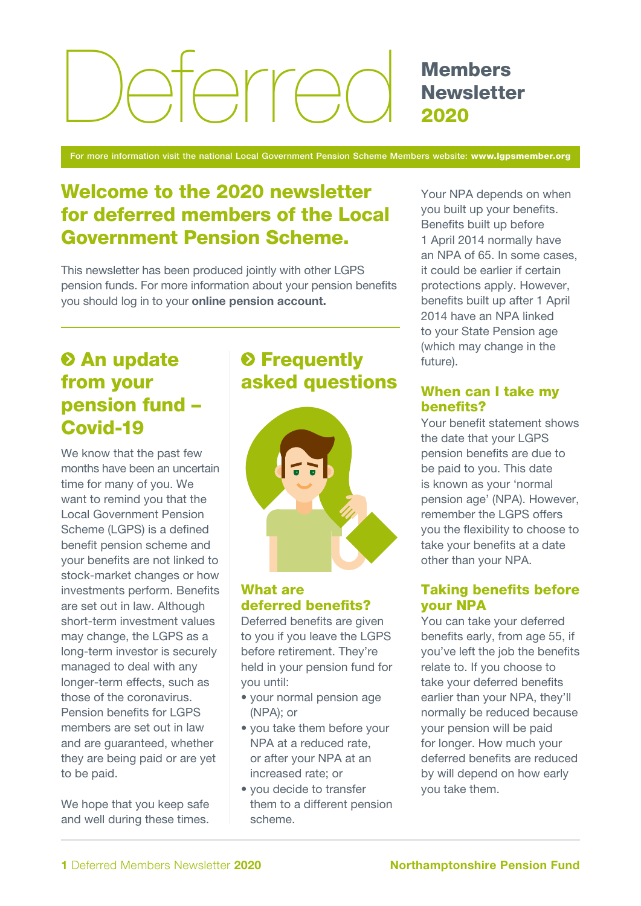# Deferred

**Members Newsletter** 2020

For more information visit the national Local Government Pension Scheme Members website: www.lgpsmember.org

## Welcome to the 2020 newsletter for deferred members of the Local Government Pension Scheme.

This newsletter has been produced jointly with other LGPS pension funds. For more information about your pension benefits you should log in to your [online pension account.](https://lgssmember.pensiondetails.co.uk/home/login/index2.html)

## **O** An update from your pension fund – Covid-19

We know that the past few months have been an uncertain time for many of you. We want to remind you that the Local Government Pension Scheme (LGPS) is a defined benefit pension scheme and your benefits are not linked to stock-market changes or how investments perform. Benefits are set out in law. Although short-term investment values may change, the LGPS as a long-term investor is securely managed to deal with any longer-term effects, such as those of the coronavirus. Pension benefits for LGPS members are set out in law and are guaranteed, whether they are being paid or are yet to be paid.

We hope that you keep safe and well during these times.

## **♦ Frequently** asked questions



### What are deferred benefits?

Deferred benefits are given to you if you leave the LGPS before retirement. They're held in your pension fund for you until:

- your normal pension age (NPA); or
- you take them before your NPA at a reduced rate, or after your NPA at an increased rate; or
- you decide to transfer them to a different pension scheme.

Your NPA depends on when you built up your benefits. Benefits built up before 1 April 2014 normally have an NPA of 65. In some cases, it could be earlier if certain protections apply. However, benefits built up after 1 April 2014 have an NPA linked to your State Pension age (which may change in the future).

#### When can I take my benefits?

Your benefit statement shows the date that your LGPS pension benefits are due to be paid to you. This date is known as your 'normal pension age' (NPA). However, remember the LGPS offers you the flexibility to choose to take your benefits at a date other than your NPA.

#### Taking benefits before your NPA

You can take your deferred benefits early, from age 55, if you've left the job the benefits relate to. If you choose to take your deferred benefits earlier than your NPA, they'll normally be reduced because your pension will be paid for longer. How much your deferred benefits are reduced by will depend on how early you take them.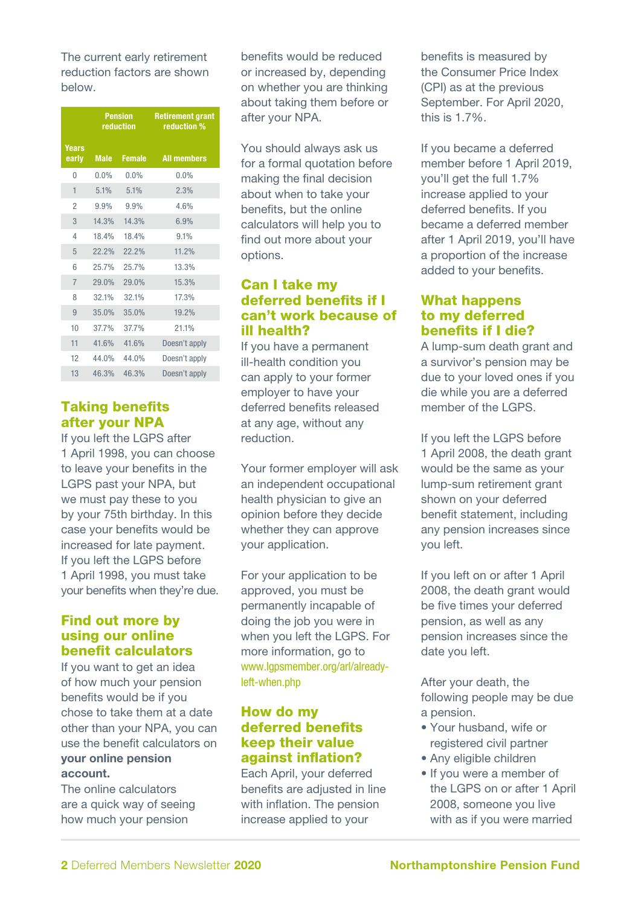The current early retirement reduction factors are shown below.

|                       | <b>Pension</b><br>reduction |               | <b>Retirement grant</b><br>reduction % |
|-----------------------|-----------------------------|---------------|----------------------------------------|
| <b>Years</b><br>early | <b>Male</b>                 | <b>Female</b> | <b>All members</b>                     |
| $\Omega$              | 0.0%                        | 0.0%          | 0.0%                                   |
| $\mathbf{1}$          | 5.1%                        | 5.1%          | 2.3%                                   |
| $\overline{2}$        | 9.9%                        | 9.9%          | 4.6%                                   |
| 3                     | 14.3%                       | 14.3%         | 6.9%                                   |
| 4                     | 18.4%                       | 18.4%         | 9.1%                                   |
| 5                     | 22.2%                       | 22.2%         | 11.2%                                  |
| 6                     | 25.7%                       | 25.7%         | 13.3%                                  |
| $\overline{7}$        | 29.0%                       | 29.0%         | 15.3%                                  |
| 8                     | 32.1%                       | 32.1%         | 17.3%                                  |
| 9                     | 35.0%                       | 35.0%         | 19.2%                                  |
| 10                    | 37.7%                       | 37.7%         | 21.1%                                  |
| 11                    | 41.6%                       | 41.6%         | Doesn't apply                          |
| 12                    | 44.0%                       | 44.0%         | Doesn't apply                          |
| 13                    | 46.3%                       | 46.3%         | Doesn't apply                          |

#### Taking benefits after your NPA

If you left the LGPS after 1 April 1998, you can choose to leave your benefits in the LGPS past your NPA, but we must pay these to you by your 75th birthday. In this case your benefits would be increased for late payment. If you left the LGPS before 1 April 1998, you must take your benefits when they're due.

#### Find out more by using our online benefit calculators

If you want to get an idea of how much your pension benefits would be if you chose to take them at a date other than your NPA, you can use the benefit calculators on [your online pension](https://lgssmember.pensiondetails.co.uk/home/login/index2.html)  [account.](https://lgssmember.pensiondetails.co.uk/home/login/index2.html)

The online calculators are a quick way of seeing how much your pension

benefits would be reduced or increased by, depending on whether you are thinking about taking them before or after your NPA.

You should always ask us for a formal quotation before making the final decision about when to take your benefits, but the online calculators will help you to find out more about your options.

#### Can I take my deferred benefits if I can't work because of ill health?

If you have a permanent ill-health condition you can apply to your former employer to have your deferred benefits released at any age, without any reduction.

Your former employer will ask an independent occupational health physician to give an opinion before they decide whether they can approve your application.

For your application to be approved, you must be permanently incapable of doing the job you were in when you left the LGPS. For more information, go to www.lgpsmember.org/arl/alreadyleft-when.php

#### How do my deferred benefits keep their value against inflation?

Each April, your deferred benefits are adjusted in line with inflation. The pension increase applied to your

benefits is measured by the Consumer Price Index (CPI) as at the previous September. For April 2020, this is 1.7%.

If you became a deferred member before 1 April 2019, you'll get the full 1.7% increase applied to your deferred benefits. If you became a deferred member after 1 April 2019, you'll have a proportion of the increase added to your benefits.

#### What happens to my deferred benefits if I die?

A lump-sum death grant and a survivor's pension may be due to your loved ones if you die while you are a deferred member of the LGPS.

If you left the LGPS before 1 April 2008, the death grant would be the same as your lump-sum retirement grant shown on your deferred benefit statement, including any pension increases since you left.

If you left on or after 1 April 2008, the death grant would be five times your deferred pension, as well as any pension increases since the date you left.

After your death, the following people may be due a pension.

- Your husband, wife or registered civil partner
- Any eligible children
- If you were a member of the LGPS on or after 1 April 2008, someone you live with as if you were married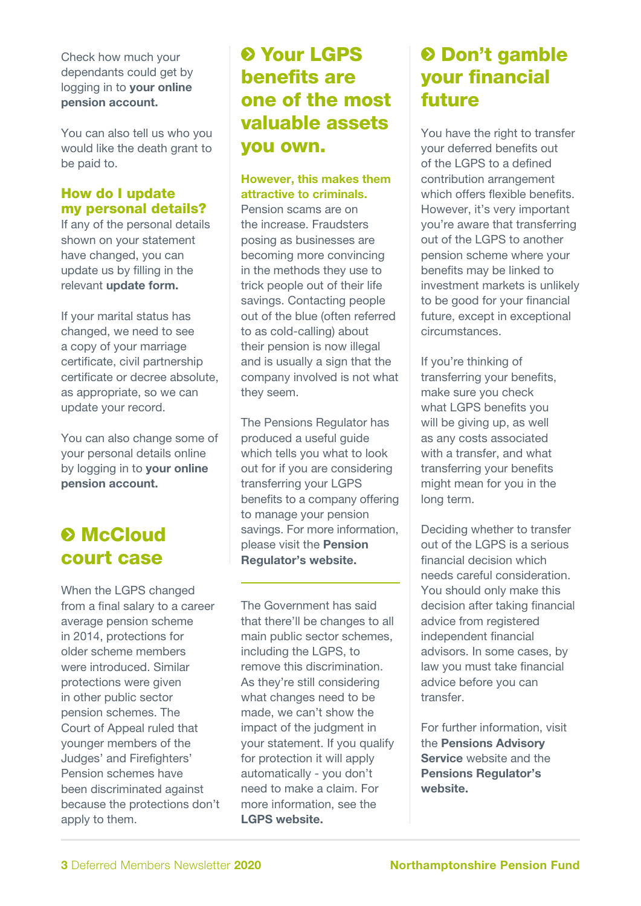Check how much your dependants could get by logging in to **your online** [pension account.](https://lgssmember.pensiondetails.co.uk/home/login/index2.html)

You can also tell us who you would like the death grant to be paid to.

#### How do I update my personal details?

If any of the personal details shown on your statement have changed, you can update us by filling in the relevant [update form.](https://lgssmember.pensiondetails.co.uk/home/members/lgps/active-members/forms-and-resources/index.html)

If your marital status has changed, we need to see a copy of your marriage certificate, civil partnership certificate or decree absolute, as appropriate, so we can update your record.

You can also change some of your personal details online by logging in to [your online](https://lgssmember.pensiondetails.co.uk/home/login/index2.html)  [pension account.](https://lgssmember.pensiondetails.co.uk/home/login/index2.html)

## **8 McCloud** court case

When the LGPS changed from a final salary to a career average pension scheme in 2014, protections for older scheme members were introduced. Similar protections were given in other public sector pension schemes. The Court of Appeal ruled that younger members of the Judges' and Firefighters' Pension schemes have been discriminated against because the protections don't apply to them.

## Your LGPS benefits are one of the most valuable assets you own.

#### However, this makes them attractive to criminals.

Pension scams are on the increase. Fraudsters posing as businesses are becoming more convincing in the methods they use to trick people out of their life savings. Contacting people out of the blue (often referred to as cold-calling) about their pension is now illegal and is usually a sign that the company involved is not what they seem.

The Pensions Regulator has produced a useful guide which tells you what to look out for if you are considering transferring your LGPS benefits to a company offering to manage your pension savings. For more information, please visit the [Pension](https://www.thepensionsregulator.gov.uk/pension-scams)  [Regulator's website.](https://www.thepensionsregulator.gov.uk/pension-scams)

The Government has said that there'll be changes to all main public sector schemes, including the LGPS, to remove this discrimination. As they're still considering what changes need to be made, we can't show the impact of the judgment in your statement. If you qualify for protection it will apply automatically - you don't need to make a claim. For more information, see the [LGPS website.](https://lgpsmember.org/news/story/mccloud_qanda.php)

## **O** Don't gamble your financial future

You have the right to transfer your deferred benefits out of the LGPS to a defined contribution arrangement which offers flexible benefits. However, it's very important you're aware that transferring out of the LGPS to another pension scheme where your benefits may be linked to investment markets is unlikely to be good for your financial future, except in exceptional circumstances.

If you're thinking of transferring your benefits, make sure you check what LGPS benefits you will be giving up, as well as any costs associated with a transfer, and what transferring your benefits might mean for you in the long term.

Deciding whether to transfer out of the LGPS is a serious financial decision which needs careful consideration. You should only make this decision after taking financial advice from registered independent financial advisors. In some cases, by law you must take financial advice before you can transfer.

For further information, visit the [Pensions Advisory](https://www.pensionsadvisoryservice.org.uk)  [Service](https://www.pensionsadvisoryservice.org.uk) website and the [Pensions Regulator's](https://www.thepensionsregulator.gov.uk)  [website.](https://www.thepensionsregulator.gov.uk)